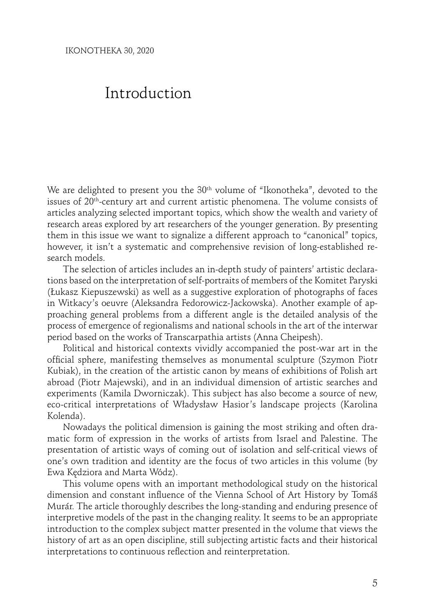## Introduction

We are delighted to present you the 30<sup>th</sup> volume of "Ikonotheka", devoted to the issues of 20th-century art and current artistic phenomena. The volume consists of articles analyzing selected important topics, which show the wealth and variety of research areas explored by art researchers of the younger generation. By presenting them in this issue we want to signalize a different approach to "canonical" topics, however, it isn't a systematic and comprehensive revision of long-established research models.

The selection of articles includes an in-depth study of painters' artistic declarations based on the interpretation of self-portraits of members of the Komitet Paryski (Łukasz Kiepuszewski) as well as a suggestive exploration of photographs of faces in Witkacy's oeuvre (Aleksandra Fedorowicz-Jackowska). Another example of approaching general problems from a different angle is the detailed analysis of the process of emergence of regionalisms and national schools in the art of the interwar period based on the works of Transcarpathia artists (Anna Cheipesh).

Political and historical contexts vividly accompanied the post-war art in the official sphere, manifesting themselves as monumental sculpture (Szymon Piotr Kubiak), in the creation of the artistic canon by means of exhibitions of Polish art abroad (Piotr Majewski), and in an individual dimension of artistic searches and experiments (Kamila Dworniczak). This subject has also become a source of new, eco-critical interpretations of Władysław Hasior's landscape projects (Karolina Kolenda).

Nowadays the political dimension is gaining the most striking and often dramatic form of expression in the works of artists from Israel and Palestine. The presentation of artistic ways of coming out of isolation and self-critical views of one's own tradition and identity are the focus of two articles in this volume (by Ewa Kędziora and Marta Wódz).

This volume opens with an important methodological study on the historical dimension and constant influence of the Vienna School of Art History by Tomáš Murár. The article thoroughly describes the long-standing and enduring presence of interpretive models of the past in the changing reality. It seems to be an appropriate introduction to the complex subject matter presented in the volume that views the history of art as an open discipline, still subjecting artistic facts and their historical interpretations to continuous reflection and reinterpretation.